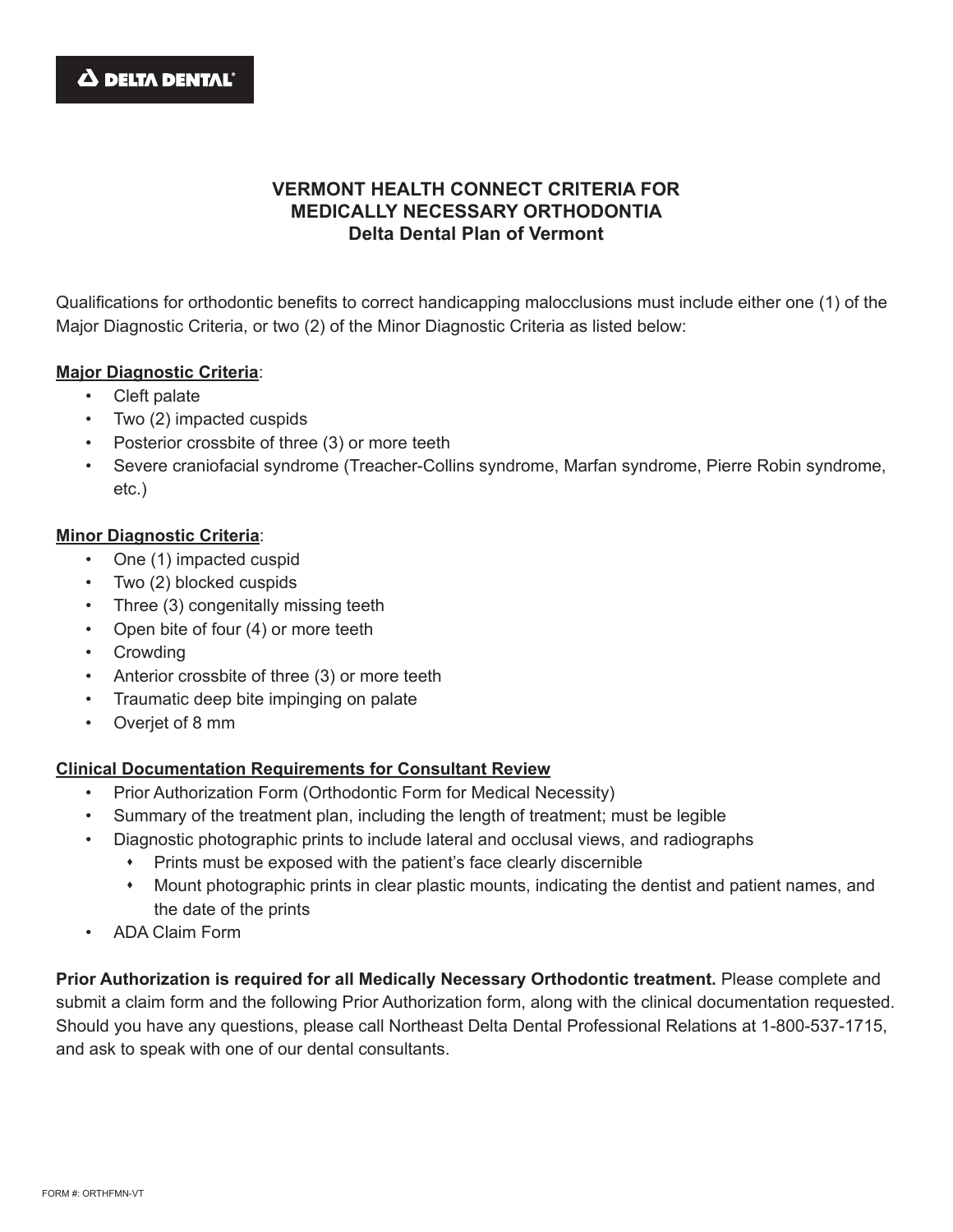

# **VERMONT HEALTH CONNECT CRITERIA FOR MEDICALLY NECESSARY ORTHODONTIA Delta Dental Plan of Vermont**

Qualifications for orthodontic benefits to correct handicapping malocclusions must include either one (1) of the Major Diagnostic Criteria, or two (2) of the Minor Diagnostic Criteria as listed below:

#### **Major Diagnostic Criteria**:

- Cleft palate
- Two (2) impacted cuspids
- Posterior crossbite of three (3) or more teeth
- Severe craniofacial syndrome (Treacher-Collins syndrome, Marfan syndrome, Pierre Robin syndrome, etc.)

### **Minor Diagnostic Criteria**:

- One (1) impacted cuspid
- Two (2) blocked cuspids
- Three (3) congenitally missing teeth
- Open bite of four (4) or more teeth
- Crowding
- Anterior crossbite of three (3) or more teeth
- Traumatic deep bite impinging on palate
- Overjet of 8 mm

### **Clinical Documentation Requirements for Consultant Review**

- Prior Authorization Form (Orthodontic Form for Medical Necessity)
- Summary of the treatment plan, including the length of treatment; must be legible
- Diagnostic photographic prints to include lateral and occlusal views, and radiographs
	- Prints must be exposed with the patient's face clearly discernible
	- Mount photographic prints in clear plastic mounts, indicating the dentist and patient names, and the date of the prints
- ADA Claim Form

**Prior Authorization is required for all Medically Necessary Orthodontic treatment.** Please complete and submit a claim form and the following Prior Authorization form, along with the clinical documentation requested. Should you have any questions, please call Northeast Delta Dental Professional Relations at 1-800-537-1715, and ask to speak with one of our dental consultants.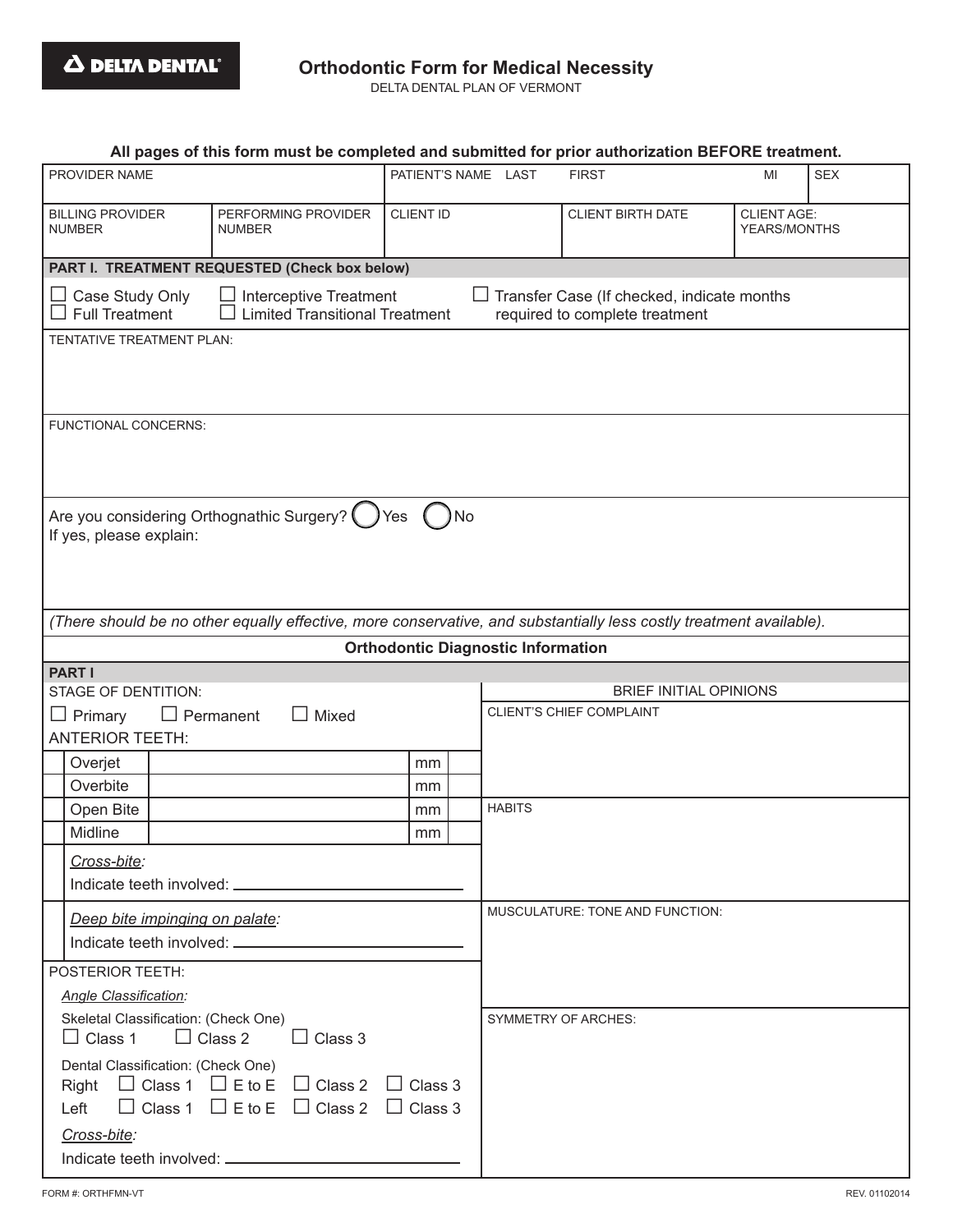# **Orthodontic Form for Medical Necessity**

DELTA DENTAL PLAN OF VERMONT

|                                                                                                                                                                                       | All pages of this form must be completed and submitted for prior authorization BEFORE treatment.                                                       |                  |                                           |                                 |                                    |            |  |  |
|---------------------------------------------------------------------------------------------------------------------------------------------------------------------------------------|--------------------------------------------------------------------------------------------------------------------------------------------------------|------------------|-------------------------------------------|---------------------------------|------------------------------------|------------|--|--|
| PROVIDER NAME                                                                                                                                                                         |                                                                                                                                                        |                  | PATIENT'S NAME LAST                       | <b>FIRST</b>                    | MI                                 | <b>SEX</b> |  |  |
| <b>BILLING PROVIDER</b><br><b>NUMBER</b>                                                                                                                                              | PERFORMING PROVIDER<br><b>NUMBER</b>                                                                                                                   | <b>CLIENT ID</b> |                                           | <b>CLIENT BIRTH DATE</b>        | <b>CLIENT AGE:</b><br>YEARS/MONTHS |            |  |  |
|                                                                                                                                                                                       | PART I. TREATMENT REQUESTED (Check box below)                                                                                                          |                  |                                           |                                 |                                    |            |  |  |
| Case Study Only<br>Full Treatment                                                                                                                                                     | <b>Interceptive Treatment</b><br>Transfer Case (If checked, indicate months<br><b>Limited Transitional Treatment</b><br>required to complete treatment |                  |                                           |                                 |                                    |            |  |  |
| TENTATIVE TREATMENT PLAN:                                                                                                                                                             |                                                                                                                                                        |                  |                                           |                                 |                                    |            |  |  |
|                                                                                                                                                                                       |                                                                                                                                                        |                  |                                           |                                 |                                    |            |  |  |
| FUNCTIONAL CONCERNS:                                                                                                                                                                  |                                                                                                                                                        |                  |                                           |                                 |                                    |            |  |  |
|                                                                                                                                                                                       |                                                                                                                                                        |                  |                                           |                                 |                                    |            |  |  |
| Are you considering Orthognathic Surgery? (<br>No<br>Yes<br>If yes, please explain:                                                                                                   |                                                                                                                                                        |                  |                                           |                                 |                                    |            |  |  |
|                                                                                                                                                                                       |                                                                                                                                                        |                  |                                           |                                 |                                    |            |  |  |
|                                                                                                                                                                                       | (There should be no other equally effective, more conservative, and substantially less costly treatment available).                                    |                  |                                           |                                 |                                    |            |  |  |
|                                                                                                                                                                                       |                                                                                                                                                        |                  | <b>Orthodontic Diagnostic Information</b> |                                 |                                    |            |  |  |
| <b>PART I</b><br><b>STAGE OF DENTITION:</b>                                                                                                                                           |                                                                                                                                                        |                  |                                           | <b>BRIEF INITIAL OPINIONS</b>   |                                    |            |  |  |
| Mixed<br>Primary<br>$\Box$ Permanent                                                                                                                                                  |                                                                                                                                                        |                  |                                           | <b>CLIENT'S CHIEF COMPLAINT</b> |                                    |            |  |  |
| <b>ANTERIOR TEETH:</b>                                                                                                                                                                |                                                                                                                                                        |                  |                                           |                                 |                                    |            |  |  |
| Overjet                                                                                                                                                                               |                                                                                                                                                        | mm               |                                           |                                 |                                    |            |  |  |
| Overbite                                                                                                                                                                              |                                                                                                                                                        | mm               |                                           |                                 |                                    |            |  |  |
| Open Bite                                                                                                                                                                             |                                                                                                                                                        | mm               | <b>HABITS</b>                             |                                 |                                    |            |  |  |
| Midline                                                                                                                                                                               |                                                                                                                                                        | mm               |                                           |                                 |                                    |            |  |  |
| Cross-bite:                                                                                                                                                                           |                                                                                                                                                        |                  |                                           |                                 |                                    |            |  |  |
|                                                                                                                                                                                       |                                                                                                                                                        |                  |                                           |                                 |                                    |            |  |  |
| Deep bite impinging on palate:                                                                                                                                                        |                                                                                                                                                        |                  |                                           | MUSCULATURE: TONE AND FUNCTION: |                                    |            |  |  |
| POSTERIOR TEETH:                                                                                                                                                                      |                                                                                                                                                        |                  |                                           |                                 |                                    |            |  |  |
| <b>Angle Classification:</b>                                                                                                                                                          |                                                                                                                                                        |                  |                                           |                                 |                                    |            |  |  |
| Skeletal Classification: (Check One)<br>$\Box$ Class 2<br>$\Box$ Class 1<br>$\Box$ Class 3                                                                                            |                                                                                                                                                        |                  |                                           | <b>SYMMETRY OF ARCHES:</b>      |                                    |            |  |  |
| Dental Classification: (Check One)<br>$\Box$ Class 1 $\Box$ E to E $\Box$ Class 2<br>$\Box$ Class 3<br>Right<br>$\Box$ Class 1 $\Box$ E to E $\Box$ Class 2<br>$\Box$ Class 3<br>Left |                                                                                                                                                        |                  |                                           |                                 |                                    |            |  |  |
| Cross-bite:                                                                                                                                                                           |                                                                                                                                                        |                  |                                           |                                 |                                    |            |  |  |
|                                                                                                                                                                                       |                                                                                                                                                        |                  |                                           |                                 |                                    |            |  |  |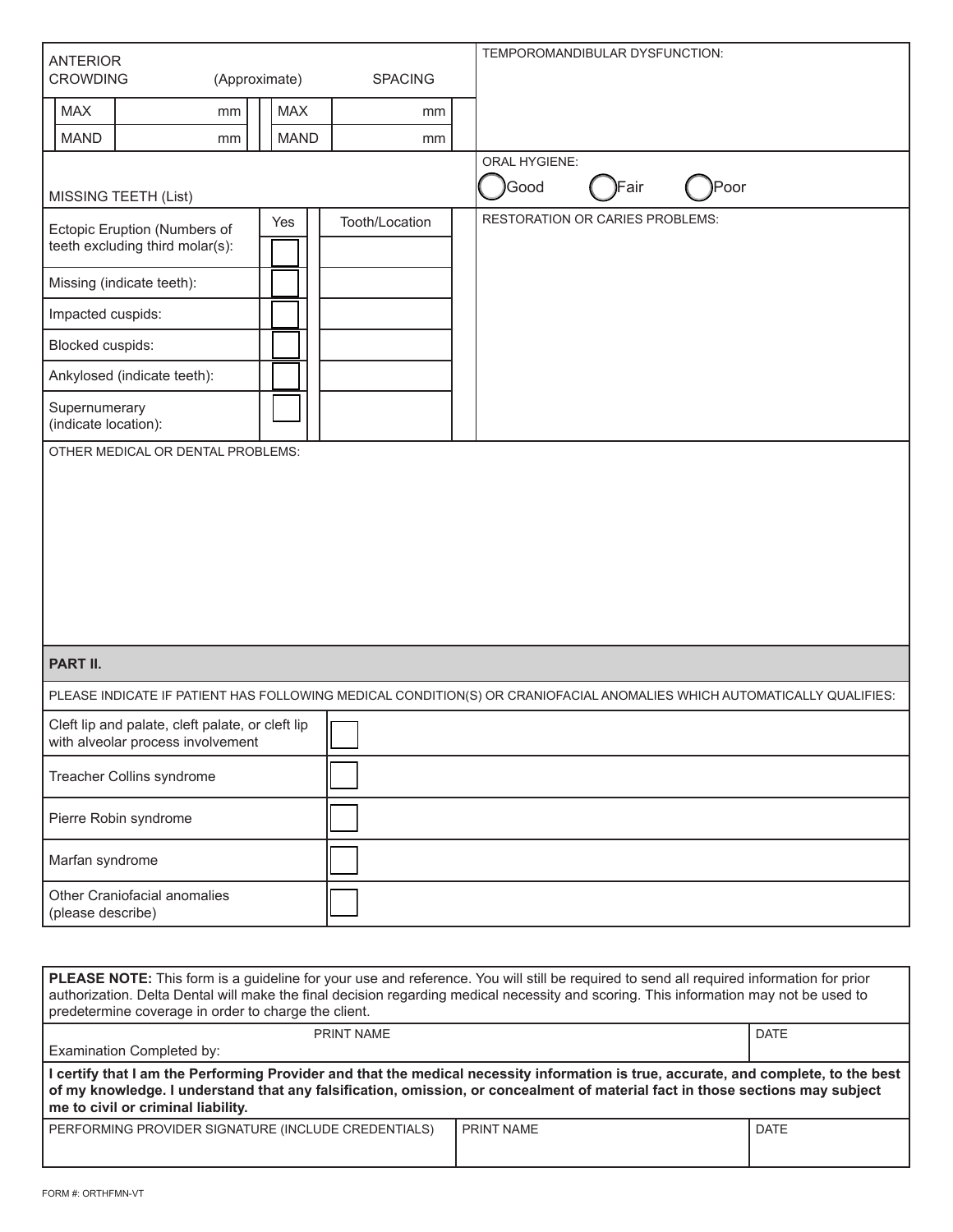| <b>ANTERIOR</b>                                                                                                                                                                                                                                                                                                                          |                                                                                                                        |                           |                | TEMPOROMANDIBULAR DYSFUNCTION:         |       |             |  |
|------------------------------------------------------------------------------------------------------------------------------------------------------------------------------------------------------------------------------------------------------------------------------------------------------------------------------------------|------------------------------------------------------------------------------------------------------------------------|---------------------------|----------------|----------------------------------------|-------|-------------|--|
| <b>CROWDING</b>                                                                                                                                                                                                                                                                                                                          | (Approximate)                                                                                                          |                           | <b>SPACING</b> |                                        |       |             |  |
| <b>MAX</b><br><b>MAND</b>                                                                                                                                                                                                                                                                                                                | mm                                                                                                                     | <b>MAX</b><br><b>MAND</b> | mm             |                                        |       |             |  |
|                                                                                                                                                                                                                                                                                                                                          | mm                                                                                                                     |                           | mm             | <b>ORAL HYGIENE:</b>                   |       |             |  |
| <b>MISSING TEETH (List)</b>                                                                                                                                                                                                                                                                                                              |                                                                                                                        |                           |                | Good                                   | )Fair | )Poor       |  |
| Ectopic Eruption (Numbers of<br>teeth excluding third molar(s):                                                                                                                                                                                                                                                                          |                                                                                                                        | Yes                       | Tooth/Location | <b>RESTORATION OR CARIES PROBLEMS:</b> |       |             |  |
| Missing (indicate teeth):                                                                                                                                                                                                                                                                                                                |                                                                                                                        |                           |                |                                        |       |             |  |
| Impacted cuspids:                                                                                                                                                                                                                                                                                                                        |                                                                                                                        |                           |                |                                        |       |             |  |
| Blocked cuspids:                                                                                                                                                                                                                                                                                                                         |                                                                                                                        |                           |                |                                        |       |             |  |
| Ankylosed (indicate teeth):                                                                                                                                                                                                                                                                                                              |                                                                                                                        |                           |                |                                        |       |             |  |
| Supernumerary<br>(indicate location):                                                                                                                                                                                                                                                                                                    |                                                                                                                        |                           |                |                                        |       |             |  |
|                                                                                                                                                                                                                                                                                                                                          |                                                                                                                        |                           |                |                                        |       |             |  |
| PART II.                                                                                                                                                                                                                                                                                                                                 |                                                                                                                        |                           |                |                                        |       |             |  |
|                                                                                                                                                                                                                                                                                                                                          | PLEASE INDICATE IF PATIENT HAS FOLLOWING MEDICAL CONDITION(S) OR CRANIOFACIAL ANOMALIES WHICH AUTOMATICALLY QUALIFIES: |                           |                |                                        |       |             |  |
| Cleft lip and palate, cleft palate, or cleft lip<br>with alveolar process involvement                                                                                                                                                                                                                                                    |                                                                                                                        |                           |                |                                        |       |             |  |
| Treacher Collins syndrome                                                                                                                                                                                                                                                                                                                |                                                                                                                        |                           |                |                                        |       |             |  |
| Pierre Robin syndrome                                                                                                                                                                                                                                                                                                                    |                                                                                                                        |                           |                |                                        |       |             |  |
| Marfan syndrome                                                                                                                                                                                                                                                                                                                          |                                                                                                                        |                           |                |                                        |       |             |  |
| Other Craniofacial anomalies<br>(please describe)                                                                                                                                                                                                                                                                                        |                                                                                                                        |                           |                |                                        |       |             |  |
|                                                                                                                                                                                                                                                                                                                                          |                                                                                                                        |                           |                |                                        |       |             |  |
| PLEASE NOTE: This form is a guideline for your use and reference. You will still be required to send all required information for prior<br>authorization. Delta Dental will make the final decision regarding medical necessity and scoring. This information may not be used to<br>predetermine coverage in order to charge the client. |                                                                                                                        |                           |                |                                        |       |             |  |
|                                                                                                                                                                                                                                                                                                                                          |                                                                                                                        |                           | DOINT NIAME    |                                        |       | <b>DATE</b> |  |

| PRINT NAME                                                                                                                                                                                                                                                                                                   | DATE              |             |  |  |  |  |
|--------------------------------------------------------------------------------------------------------------------------------------------------------------------------------------------------------------------------------------------------------------------------------------------------------------|-------------------|-------------|--|--|--|--|
| Examination Completed by:                                                                                                                                                                                                                                                                                    |                   |             |  |  |  |  |
| I certify that I am the Performing Provider and that the medical necessity information is true, accurate, and complete, to the best<br>of my knowledge. I understand that any falsification, omission, or concealment of material fact in those sections may subject  <br>me to civil or criminal liability. |                   |             |  |  |  |  |
| PERFORMING PROVIDER SIGNATURE (INCLUDE CREDENTIALS)                                                                                                                                                                                                                                                          | <b>PRINT NAME</b> | <b>DATE</b> |  |  |  |  |